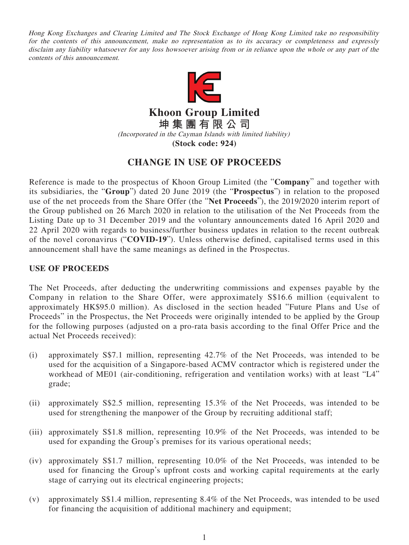Hong Kong Exchanges and Clearing Limited and The Stock Exchange of Hong Kong Limited take no responsibility for the contents of this announcement, make no representation as to its accuracy or completeness and expressly disclaim any liability whatsoever for any loss howsoever arising from or in reliance upon the whole or any part of the contents of this announcement.



**Khoon Group Limited 坤集團有限公司**

(Incorporated in the Cayman Islands with limited liability)

**(Stock code: 924)**

# **CHANGE IN USE OF PROCEEDS**

Reference is made to the prospectus of Khoon Group Limited (the "**Company**" and together with its subsidiaries, the "**Group**") dated 20 June 2019 (the "**Prospectus**") in relation to the proposed use of the net proceeds from the Share Offer (the "**Net Proceeds**"), the 2019/2020 interim report of the Group published on 26 March 2020 in relation to the utilisation of the Net Proceeds from the Listing Date up to 31 December 2019 and the voluntary announcements dated 16 April 2020 and 22 April 2020 with regards to business/further business updates in relation to the recent outbreak of the novel coronavirus ("**COVID-19**"). Unless otherwise defined, capitalised terms used in this announcement shall have the same meanings as defined in the Prospectus.

## **USE OF PROCEEDS**

The Net Proceeds, after deducting the underwriting commissions and expenses payable by the Company in relation to the Share Offer, were approximately S\$16.6 million (equivalent to approximately HK\$95.0 million). As disclosed in the section headed "Future Plans and Use of Proceeds" in the Prospectus, the Net Proceeds were originally intended to be applied by the Group for the following purposes (adjusted on a pro-rata basis according to the final Offer Price and the actual Net Proceeds received):

- (i) approximately S\$7.1 million, representing 42.7% of the Net Proceeds, was intended to be used for the acquisition of a Singapore-based ACMV contractor which is registered under the workhead of ME01 (air-conditioning, refrigeration and ventilation works) with at least "L4" grade;
- (ii) approximately S\$2.5 million, representing 15.3% of the Net Proceeds, was intended to be used for strengthening the manpower of the Group by recruiting additional staff;
- (iii) approximately S\$1.8 million, representing 10.9% of the Net Proceeds, was intended to be used for expanding the Group's premises for its various operational needs;
- (iv) approximately S\$1.7 million, representing 10.0% of the Net Proceeds, was intended to be used for financing the Group's upfront costs and working capital requirements at the early stage of carrying out its electrical engineering projects;
- (v) approximately S\$1.4 million, representing 8.4% of the Net Proceeds, was intended to be used for financing the acquisition of additional machinery and equipment;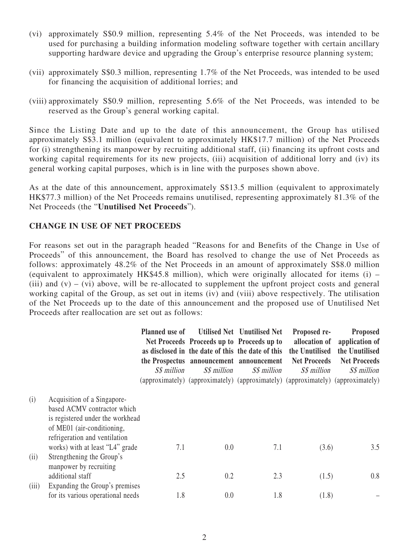- (vi) approximately S\$0.9 million, representing 5.4% of the Net Proceeds, was intended to be used for purchasing a building information modeling software together with certain ancillary supporting hardware device and upgrading the Group's enterprise resource planning system;
- (vii) approximately S\$0.3 million, representing 1.7% of the Net Proceeds, was intended to be used for financing the acquisition of additional lorries; and
- (viii) approximately S\$0.9 million, representing 5.6% of the Net Proceeds, was intended to be reserved as the Group's general working capital.

Since the Listing Date and up to the date of this announcement, the Group has utilised approximately S\$3.1 million (equivalent to approximately HK\$17.7 million) of the Net Proceeds for (i) strengthening its manpower by recruiting additional staff, (ii) financing its upfront costs and working capital requirements for its new projects, (iii) acquisition of additional lorry and (iv) its general working capital purposes, which is in line with the purposes shown above.

As at the date of this announcement, approximately S\$13.5 million (equivalent to approximately HK\$77.3 million) of the Net Proceeds remains unutilised, representing approximately 81.3% of the Net Proceeds (the "**Unutilised Net Proceeds**").

## **CHANGE IN USE OF NET PROCEEDS**

For reasons set out in the paragraph headed "Reasons for and Benefits of the Change in Use of Proceeds" of this announcement, the Board has resolved to change the use of Net Proceeds as follows: approximately 48.2% of the Net Proceeds in an amount of approximately S\$8.0 million (equivalent to approximately HK\$45.8 million), which were originally allocated for items (i) – (iii) and  $(v) - (vi)$  above, will be re-allocated to supplement the upfront project costs and general working capital of the Group, as set out in items (iv) and (viii) above respectively. The utilisation of the Net Proceeds up to the date of this announcement and the proposed use of Unutilised Net Proceeds after reallocation are set out as follows:

|       |                                                                                                                                                               | <b>Planned use of</b><br>S\$ million | Net Proceeds Proceeds up to Proceeds up to<br>as disclosed in the date of this the date of this<br>S\$ million | Utilised Net Unutilised Net<br>the Prospectus announcement announcement<br>S\$ million | Proposed re-<br>allocation of<br>the Unutilised<br><b>Net Proceeds</b><br>S\$ million<br>(approximately) (approximately) (approximately) (approximately) (approximately) | <b>Proposed</b><br>application of<br>the Unutilised<br><b>Net Proceeds</b><br>S\$ million |
|-------|---------------------------------------------------------------------------------------------------------------------------------------------------------------|--------------------------------------|----------------------------------------------------------------------------------------------------------------|----------------------------------------------------------------------------------------|--------------------------------------------------------------------------------------------------------------------------------------------------------------------------|-------------------------------------------------------------------------------------------|
| (i)   | Acquisition of a Singapore-<br>based ACMV contractor which<br>is registered under the workhead<br>of ME01 (air-conditioning,<br>refrigeration and ventilation |                                      |                                                                                                                |                                                                                        |                                                                                                                                                                          |                                                                                           |
| (ii)  | works) with at least "L4" grade<br>Strengthening the Group's<br>manpower by recruiting                                                                        | 7.1                                  | 0.0                                                                                                            | 7.1                                                                                    | (3.6)                                                                                                                                                                    | 3.5                                                                                       |
| (iii) | additional staff<br>Expanding the Group's premises                                                                                                            | 2.5                                  | 0.2                                                                                                            | 2.3                                                                                    | (1.5)                                                                                                                                                                    | 0.8                                                                                       |
|       | for its various operational needs                                                                                                                             | 1.8                                  | 0.0                                                                                                            | 1.8                                                                                    | (1.8)                                                                                                                                                                    |                                                                                           |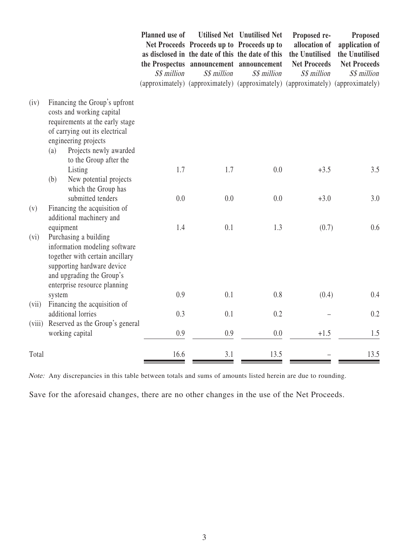|        |                                                                                                                                                                                                                    | Planned use of<br>S\$ million | S\$ million | Utilised Net Unutilised Net<br>Net Proceeds Proceeds up to Proceeds up to<br>as disclosed in the date of this the date of this<br>the Prospectus announcement announcement<br>S\$ million<br>(approximately) (approximately) (approximately) (approximately) (approximately) | Proposed re-<br>allocation of<br>the Unutilised<br><b>Net Proceeds</b><br>S\$ million | <b>Proposed</b><br>application of<br>the Unutilised<br><b>Net Proceeds</b><br>S\$ million |
|--------|--------------------------------------------------------------------------------------------------------------------------------------------------------------------------------------------------------------------|-------------------------------|-------------|------------------------------------------------------------------------------------------------------------------------------------------------------------------------------------------------------------------------------------------------------------------------------|---------------------------------------------------------------------------------------|-------------------------------------------------------------------------------------------|
| (iv)   | Financing the Group's upfront<br>costs and working capital<br>requirements at the early stage<br>of carrying out its electrical<br>engineering projects<br>Projects newly awarded<br>(a)<br>to the Group after the |                               |             |                                                                                                                                                                                                                                                                              |                                                                                       |                                                                                           |
|        | Listing<br>New potential projects<br>(b)<br>which the Group has                                                                                                                                                    | 1.7                           | 1.7         | 0.0                                                                                                                                                                                                                                                                          | $+3.5$                                                                                | 3.5                                                                                       |
| (v)    | submitted tenders<br>Financing the acquisition of<br>additional machinery and                                                                                                                                      | 0.0                           | 0.0         | 0.0                                                                                                                                                                                                                                                                          | $+3.0$                                                                                | 3.0                                                                                       |
| (vi)   | equipment<br>Purchasing a building<br>information modeling software<br>together with certain ancillary<br>supporting hardware device<br>and upgrading the Group's<br>enterprise resource planning                  | 1.4                           | 0.1         | 1.3                                                                                                                                                                                                                                                                          | (0.7)                                                                                 | 0.6                                                                                       |
| (vii)  | system<br>Financing the acquisition of                                                                                                                                                                             | 0.9                           | 0.1         | 0.8                                                                                                                                                                                                                                                                          | (0.4)                                                                                 | 0.4                                                                                       |
| (viii) | additional lorries<br>Reserved as the Group's general                                                                                                                                                              | 0.3                           | 0.1         | 0.2                                                                                                                                                                                                                                                                          |                                                                                       | 0.2                                                                                       |
|        | working capital                                                                                                                                                                                                    | 0.9                           | 0.9         | 0.0                                                                                                                                                                                                                                                                          | $+1.5$                                                                                | 1.5                                                                                       |
| Total  |                                                                                                                                                                                                                    | 16.6                          | 3.1         | 13.5                                                                                                                                                                                                                                                                         |                                                                                       | 13.5                                                                                      |

Note: Any discrepancies in this table between totals and sums of amounts listed herein are due to rounding.

Save for the aforesaid changes, there are no other changes in the use of the Net Proceeds.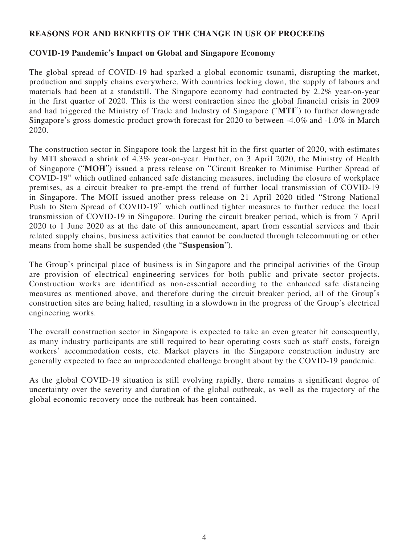#### **REASONS FOR AND BENEFITS OF THE CHANGE IN USE OF PROCEEDS**

## **COVID-19 Pandemic's Impact on Global and Singapore Economy**

The global spread of COVID-19 had sparked a global economic tsunami, disrupting the market, production and supply chains everywhere. With countries locking down, the supply of labours and materials had been at a standstill. The Singapore economy had contracted by 2.2% year-on-year in the first quarter of 2020. This is the worst contraction since the global financial crisis in 2009 and had triggered the Ministry of Trade and Industry of Singapore ("**MTI**") to further downgrade Singapore's gross domestic product growth forecast for 2020 to between -4.0% and -1.0% in March 2020.

The construction sector in Singapore took the largest hit in the first quarter of 2020, with estimates by MTI showed a shrink of 4.3% year-on-year. Further, on 3 April 2020, the Ministry of Health of Singapore ("**MOH**") issued a press release on "Circuit Breaker to Minimise Further Spread of COVID-19" which outlined enhanced safe distancing measures, including the closure of workplace premises, as a circuit breaker to pre-empt the trend of further local transmission of COVID-19 in Singapore. The MOH issued another press release on 21 April 2020 titled "Strong National Push to Stem Spread of COVID-19" which outlined tighter measures to further reduce the local transmission of COVID-19 in Singapore. During the circuit breaker period, which is from 7 April 2020 to 1 June 2020 as at the date of this announcement, apart from essential services and their related supply chains, business activities that cannot be conducted through telecommuting or other means from home shall be suspended (the "**Suspension**").

The Group's principal place of business is in Singapore and the principal activities of the Group are provision of electrical engineering services for both public and private sector projects. Construction works are identified as non-essential according to the enhanced safe distancing measures as mentioned above, and therefore during the circuit breaker period, all of the Group's construction sites are being halted, resulting in a slowdown in the progress of the Group's electrical engineering works.

The overall construction sector in Singapore is expected to take an even greater hit consequently, as many industry participants are still required to bear operating costs such as staff costs, foreign workers' accommodation costs, etc. Market players in the Singapore construction industry are generally expected to face an unprecedented challenge brought about by the COVID-19 pandemic.

As the global COVID-19 situation is still evolving rapidly, there remains a significant degree of uncertainty over the severity and duration of the global outbreak, as well as the trajectory of the global economic recovery once the outbreak has been contained.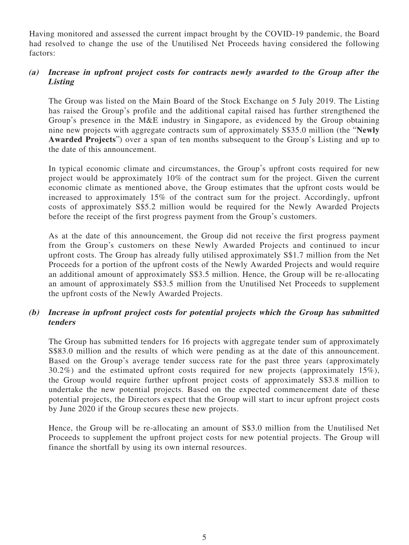Having monitored and assessed the current impact brought by the COVID-19 pandemic, the Board had resolved to change the use of the Unutilised Net Proceeds having considered the following factors:

#### **(a) Increase in upfront project costs for contracts newly awarded to the Group after the Listing**

The Group was listed on the Main Board of the Stock Exchange on 5 July 2019. The Listing has raised the Group's profile and the additional capital raised has further strengthened the Group's presence in the M&E industry in Singapore, as evidenced by the Group obtaining nine new projects with aggregate contracts sum of approximately S\$35.0 million (the "**Newly Awarded Projects**") over a span of ten months subsequent to the Group's Listing and up to the date of this announcement.

In typical economic climate and circumstances, the Group's upfront costs required for new project would be approximately 10% of the contract sum for the project. Given the current economic climate as mentioned above, the Group estimates that the upfront costs would be increased to approximately 15% of the contract sum for the project. Accordingly, upfront costs of approximately S\$5.2 million would be required for the Newly Awarded Projects before the receipt of the first progress payment from the Group's customers.

As at the date of this announcement, the Group did not receive the first progress payment from the Group's customers on these Newly Awarded Projects and continued to incur upfront costs. The Group has already fully utilised approximately S\$1.7 million from the Net Proceeds for a portion of the upfront costs of the Newly Awarded Projects and would require an additional amount of approximately S\$3.5 million. Hence, the Group will be re-allocating an amount of approximately S\$3.5 million from the Unutilised Net Proceeds to supplement the upfront costs of the Newly Awarded Projects.

## **(b) Increase in upfront project costs for potential projects which the Group has submitted tenders**

The Group has submitted tenders for 16 projects with aggregate tender sum of approximately S\$83.0 million and the results of which were pending as at the date of this announcement. Based on the Group's average tender success rate for the past three years (approximately 30.2%) and the estimated upfront costs required for new projects (approximately 15%), the Group would require further upfront project costs of approximately S\$3.8 million to undertake the new potential projects. Based on the expected commencement date of these potential projects, the Directors expect that the Group will start to incur upfront project costs by June 2020 if the Group secures these new projects.

Hence, the Group will be re-allocating an amount of S\$3.0 million from the Unutilised Net Proceeds to supplement the upfront project costs for new potential projects. The Group will finance the shortfall by using its own internal resources.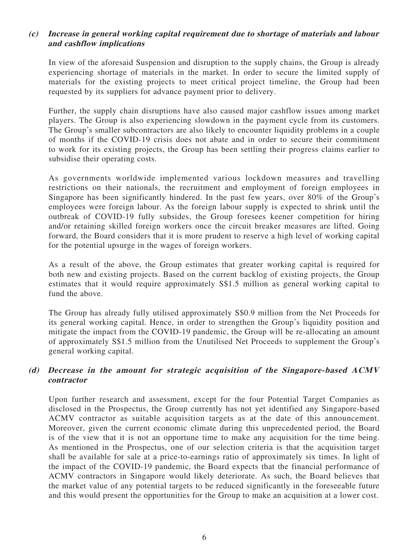#### **(c) Increase in general working capital requirement due to shortage of materials and labour and cashflow implications**

In view of the aforesaid Suspension and disruption to the supply chains, the Group is already experiencing shortage of materials in the market. In order to secure the limited supply of materials for the existing projects to meet critical project timeline, the Group had been requested by its suppliers for advance payment prior to delivery.

Further, the supply chain disruptions have also caused major cashflow issues among market players. The Group is also experiencing slowdown in the payment cycle from its customers. The Group's smaller subcontractors are also likely to encounter liquidity problems in a couple of months if the COVID-19 crisis does not abate and in order to secure their commitment to work for its existing projects, the Group has been settling their progress claims earlier to subsidise their operating costs.

As governments worldwide implemented various lockdown measures and travelling restrictions on their nationals, the recruitment and employment of foreign employees in Singapore has been significantly hindered. In the past few years, over 80% of the Group's employees were foreign labour. As the foreign labour supply is expected to shrink until the outbreak of COVID-19 fully subsides, the Group foresees keener competition for hiring and/or retaining skilled foreign workers once the circuit breaker measures are lifted. Going forward, the Board considers that it is more prudent to reserve a high level of working capital for the potential upsurge in the wages of foreign workers.

As a result of the above, the Group estimates that greater working capital is required for both new and existing projects. Based on the current backlog of existing projects, the Group estimates that it would require approximately S\$1.5 million as general working capital to fund the above.

The Group has already fully utilised approximately S\$0.9 million from the Net Proceeds for its general working capital. Hence, in order to strengthen the Group's liquidity position and mitigate the impact from the COVID-19 pandemic, the Group will be re-allocating an amount of approximately S\$1.5 million from the Unutilised Net Proceeds to supplement the Group's general working capital.

## **(d) Decrease in the amount for strategic acquisition of the Singapore-based ACMV contractor**

Upon further research and assessment, except for the four Potential Target Companies as disclosed in the Prospectus, the Group currently has not yet identified any Singapore-based ACMV contractor as suitable acquisition targets as at the date of this announcement. Moreover, given the current economic climate during this unprecedented period, the Board is of the view that it is not an opportune time to make any acquisition for the time being. As mentioned in the Prospectus, one of our selection criteria is that the acquisition target shall be available for sale at a price-to-earnings ratio of approximately six times. In light of the impact of the COVID-19 pandemic, the Board expects that the financial performance of ACMV contractors in Singapore would likely deteriorate. As such, the Board believes that the market value of any potential targets to be reduced significantly in the foreseeable future and this would present the opportunities for the Group to make an acquisition at a lower cost.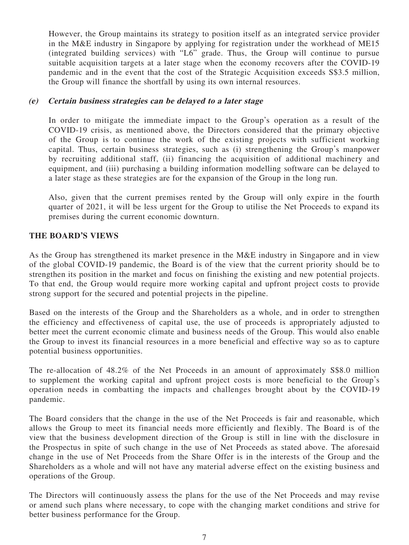However, the Group maintains its strategy to position itself as an integrated service provider in the M&E industry in Singapore by applying for registration under the workhead of ME15 (integrated building services) with "L6" grade. Thus, the Group will continue to pursue suitable acquisition targets at a later stage when the economy recovers after the COVID-19 pandemic and in the event that the cost of the Strategic Acquisition exceeds S\$3.5 million, the Group will finance the shortfall by using its own internal resources.

#### **(e) Certain business strategies can be delayed to a later stage**

In order to mitigate the immediate impact to the Group's operation as a result of the COVID-19 crisis, as mentioned above, the Directors considered that the primary objective of the Group is to continue the work of the existing projects with sufficient working capital. Thus, certain business strategies, such as (i) strengthening the Group's manpower by recruiting additional staff, (ii) financing the acquisition of additional machinery and equipment, and (iii) purchasing a building information modelling software can be delayed to a later stage as these strategies are for the expansion of the Group in the long run.

Also, given that the current premises rented by the Group will only expire in the fourth quarter of 2021, it will be less urgent for the Group to utilise the Net Proceeds to expand its premises during the current economic downturn.

#### **THE BOARD'S VIEWS**

As the Group has strengthened its market presence in the M&E industry in Singapore and in view of the global COVID-19 pandemic, the Board is of the view that the current priority should be to strengthen its position in the market and focus on finishing the existing and new potential projects. To that end, the Group would require more working capital and upfront project costs to provide strong support for the secured and potential projects in the pipeline.

Based on the interests of the Group and the Shareholders as a whole, and in order to strengthen the efficiency and effectiveness of capital use, the use of proceeds is appropriately adjusted to better meet the current economic climate and business needs of the Group. This would also enable the Group to invest its financial resources in a more beneficial and effective way so as to capture potential business opportunities.

The re-allocation of 48.2% of the Net Proceeds in an amount of approximately S\$8.0 million to supplement the working capital and upfront project costs is more beneficial to the Group's operation needs in combatting the impacts and challenges brought about by the COVID-19 pandemic.

The Board considers that the change in the use of the Net Proceeds is fair and reasonable, which allows the Group to meet its financial needs more efficiently and flexibly. The Board is of the view that the business development direction of the Group is still in line with the disclosure in the Prospectus in spite of such change in the use of Net Proceeds as stated above. The aforesaid change in the use of Net Proceeds from the Share Offer is in the interests of the Group and the Shareholders as a whole and will not have any material adverse effect on the existing business and operations of the Group.

The Directors will continuously assess the plans for the use of the Net Proceeds and may revise or amend such plans where necessary, to cope with the changing market conditions and strive for better business performance for the Group.